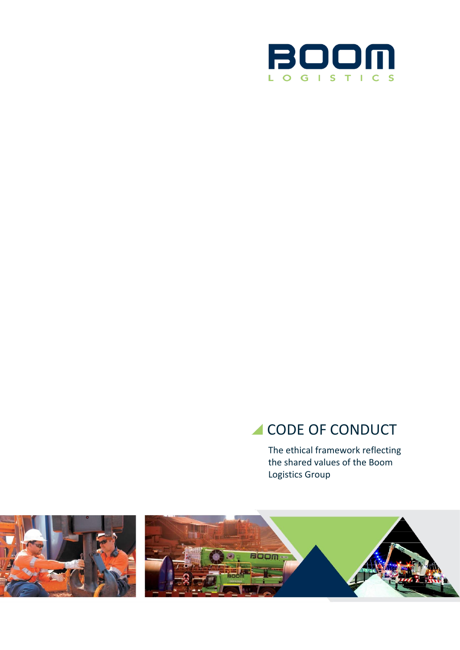

# CODE OF CONDUCT

The ethical framework reflecting the shared values of the Boom Logistics Group

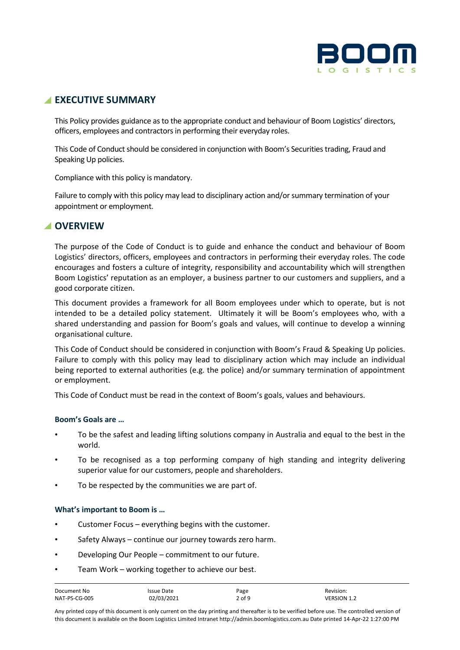

# **EXECUTIVE SUMMARY**

This Policy provides guidance as to the appropriate conduct and behaviour of Boom Logistics' directors, officers, employees and contractors in performing their everyday roles.

This Code of Conduct should be considered in conjunction with Boom's Securities trading, Fraud and Speaking Up policies.

Compliance with this policy is mandatory.

Failure to comply with this policy may lead to disciplinary action and/or summary termination of your appointment or employment.

## **OVERVIEW**

The purpose of the Code of Conduct is to guide and enhance the conduct and behaviour of Boom Logistics' directors, officers, employees and contractors in performing their everyday roles. The code encourages and fosters a culture of integrity, responsibility and accountability which will strengthen Boom Logistics' reputation as an employer, a business partner to our customers and suppliers, and a good corporate citizen.

This document provides a framework for all Boom employees under which to operate, but is not intended to be a detailed policy statement. Ultimately it will be Boom's employees who, with a shared understanding and passion for Boom's goals and values, will continue to develop a winning organisational culture.

This Code of Conduct should be considered in conjunction with Boom's Fraud & Speaking Up policies. Failure to comply with this policy may lead to disciplinary action which may include an individual being reported to external authorities (e.g. the police) and/or summary termination of appointment or employment.

This Code of Conduct must be read in the context of Boom's goals, values and behaviours.

## **Boom's Goals are …**

- To be the safest and leading lifting solutions company in Australia and equal to the best in the world.
- To be recognised as a top performing company of high standing and integrity delivering superior value for our customers, people and shareholders.
- To be respected by the communities we are part of.

## **What's important to Boom is …**

- Customer Focus everything begins with the customer.
- Safety Always continue our journey towards zero harm.
- Developing Our People commitment to our future.
- Team Work working together to achieve our best.

| Document No   | Issue Date | Page   | Revision:          |
|---------------|------------|--------|--------------------|
| NAT-PS-CG-005 | 02/03/2021 | 2 of 9 | <b>VERSION 1.2</b> |

Any printed copy of this document is only current on the day printing and thereafter is to be verified before use. The controlled version of this document is available on the Boom Logistics Limited Intranet http://admin.boomlogistics.com.au Date printed 14-Apr-22 1:27:00 PM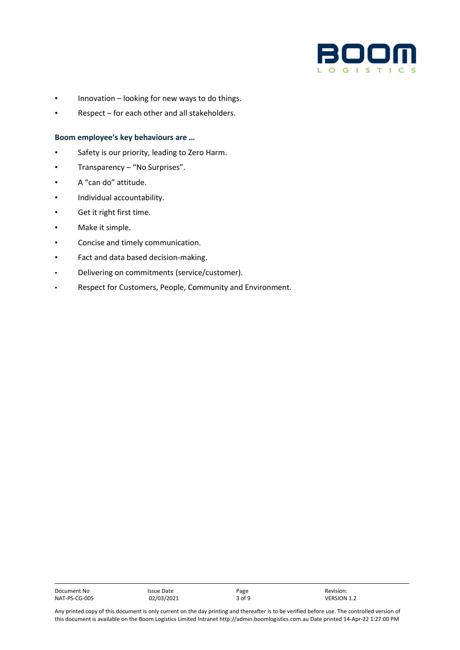

- Innovation looking for new ways to do things.
- Respect for each other and all stakeholders.

#### **Boom employee's key behaviours are …**

- Safety is our priority, leading to Zero Harm.
- Transparency "No Surprises".
- A "can do" attitude.
- Individual accountability.
- Get it right first time.
- Make it simple.
- Concise and timely communication.
- Fact and data based decision-making.
- Delivering on commitments (service/customer).
- Respect for Customers, People, Community and Environment.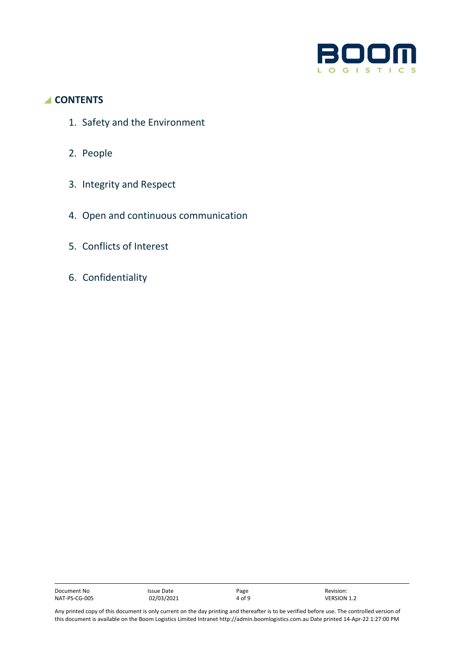

# **CONTENTS**

- 1. Safety and the Environment
- 2. People
- 3. Integrity and Respect
- 4. Open and continuous communication
- 5. Conflicts of Interest
- 6. Confidentiality

| Document No   | Issue Date | Page   | Revision:          |
|---------------|------------|--------|--------------------|
| NAT-PS-CG-005 | 02/03/2021 | 4 of 9 | <b>VERSION 1.2</b> |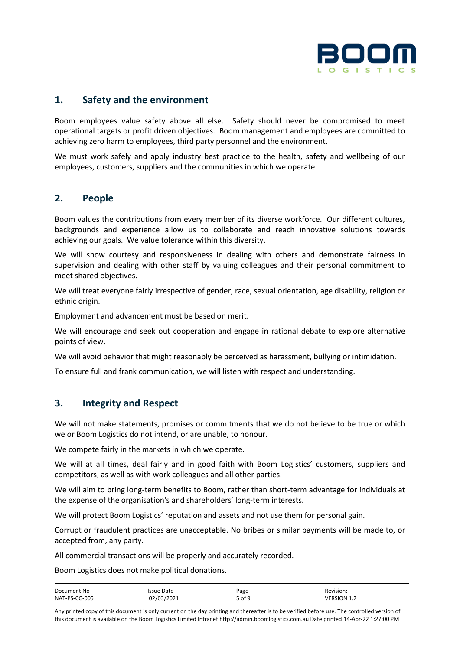

# **1. Safety and the environment**

Boom employees value safety above all else. Safety should never be compromised to meet operational targets or profit driven objectives. Boom management and employees are committed to achieving zero harm to employees, third party personnel and the environment.

We must work safely and apply industry best practice to the health, safety and wellbeing of our employees, customers, suppliers and the communities in which we operate.

## **2. People**

Boom values the contributions from every member of its diverse workforce. Our different cultures, backgrounds and experience allow us to collaborate and reach innovative solutions towards achieving our goals. We value tolerance within this diversity.

We will show courtesy and responsiveness in dealing with others and demonstrate fairness in supervision and dealing with other staff by valuing colleagues and their personal commitment to meet shared objectives.

We will treat everyone fairly irrespective of gender, race, sexual orientation, age disability, religion or ethnic origin.

Employment and advancement must be based on merit.

We will encourage and seek out cooperation and engage in rational debate to explore alternative points of view.

We will avoid behavior that might reasonably be perceived as harassment, bullying or intimidation.

To ensure full and frank communication, we will listen with respect and understanding.

## **3. Integrity and Respect**

We will not make statements, promises or commitments that we do not believe to be true or which we or Boom Logistics do not intend, or are unable, to honour.

We compete fairly in the markets in which we operate.

We will at all times, deal fairly and in good faith with Boom Logistics' customers, suppliers and competitors, as well as with work colleagues and all other parties.

We will aim to bring long-term benefits to Boom, rather than short-term advantage for individuals at the expense of the organisation's and shareholders' long-term interests.

We will protect Boom Logistics' reputation and assets and not use them for personal gain.

Corrupt or fraudulent practices are unacceptable. No bribes or similar payments will be made to, or accepted from, any party.

All commercial transactions will be properly and accurately recorded.

Boom Logistics does not make political donations.

| Document No   | Issue Date | Page   | Revision:          |
|---------------|------------|--------|--------------------|
| NAT-PS-CG-005 | 02/03/2021 | 5 of 9 | <b>VERSION 1.2</b> |

Any printed copy of this document is only current on the day printing and thereafter is to be verified before use. The controlled version of this document is available on the Boom Logistics Limited Intranet http://admin.boomlogistics.com.au Date printed 14-Apr-22 1:27:00 PM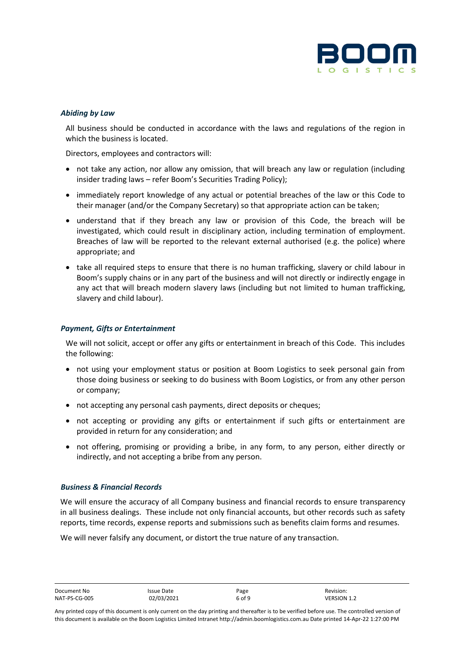

## *Abiding by Law*

All business should be conducted in accordance with the laws and regulations of the region in which the business is located.

Directors, employees and contractors will:

- not take any action, nor allow any omission, that will breach any law or regulation (including insider trading laws – refer Boom's Securities Trading Policy);
- immediately report knowledge of any actual or potential breaches of the law or this Code to their manager (and/or the Company Secretary) so that appropriate action can be taken;
- understand that if they breach any law or provision of this Code, the breach will be investigated, which could result in disciplinary action, including termination of employment. Breaches of law will be reported to the relevant external authorised (e.g. the police) where appropriate; and
- take all required steps to ensure that there is no human trafficking, slavery or child labour in Boom's supply chains or in any part of the business and will not directly or indirectly engage in any act that will breach modern slavery laws (including but not limited to human trafficking, slavery and child labour).

#### *Payment, Gifts or Entertainment*

We will not solicit, accept or offer any gifts or entertainment in breach of this Code. This includes the following:

- not using your employment status or position at Boom Logistics to seek personal gain from those doing business or seeking to do business with Boom Logistics, or from any other person or company;
- not accepting any personal cash payments, direct deposits or cheques;
- not accepting or providing any gifts or entertainment if such gifts or entertainment are provided in return for any consideration; and
- not offering, promising or providing a bribe, in any form, to any person, either directly or indirectly, and not accepting a bribe from any person.

#### *Business & Financial Records*

We will ensure the accuracy of all Company business and financial records to ensure transparency in all business dealings. These include not only financial accounts, but other records such as safety reports, time records, expense reports and submissions such as benefits claim forms and resumes.

We will never falsify any document, or distort the true nature of any transaction.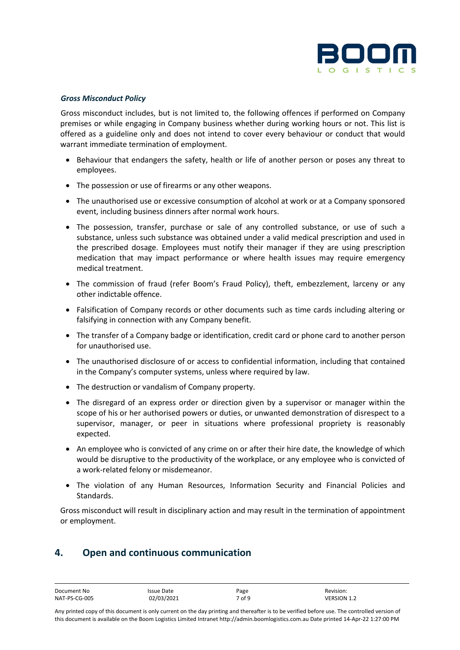

#### *Gross Misconduct Policy*

Gross misconduct includes, but is not limited to, the following offences if performed on Company premises or while engaging in Company business whether during working hours or not. This list is offered as a guideline only and does not intend to cover every behaviour or conduct that would warrant immediate termination of employment.

- Behaviour that endangers the safety, health or life of another person or poses any threat to employees.
- The possession or use of firearms or any other weapons.
- The unauthorised use or excessive consumption of alcohol at work or at a Company sponsored event, including business dinners after normal work hours.
- The possession, transfer, purchase or sale of any controlled substance, or use of such a substance, unless such substance was obtained under a valid medical prescription and used in the prescribed dosage. Employees must notify their manager if they are using prescription medication that may impact performance or where health issues may require emergency medical treatment.
- The commission of fraud (refer Boom's Fraud Policy), theft, embezzlement, larceny or any other indictable offence.
- Falsification of Company records or other documents such as time cards including altering or falsifying in connection with any Company benefit.
- The transfer of a Company badge or identification, credit card or phone card to another person for unauthorised use.
- The unauthorised disclosure of or access to confidential information, including that contained in the Company's computer systems, unless where required by law.
- The destruction or vandalism of Company property.
- The disregard of an express order or direction given by a supervisor or manager within the scope of his or her authorised powers or duties, or unwanted demonstration of disrespect to a supervisor, manager, or peer in situations where professional propriety is reasonably expected.
- An employee who is convicted of any crime on or after their hire date, the knowledge of which would be disruptive to the productivity of the workplace, or any employee who is convicted of a work-related felony or misdemeanor.
- The violation of any Human Resources, Information Security and Financial Policies and Standards.

Gross misconduct will result in disciplinary action and may result in the termination of appointment or employment.

## **4. Open and continuous communication**

| Document No   | Issue Date | Page   | Revision:          |
|---------------|------------|--------|--------------------|
| NAT-PS-CG-005 | 02/03/2021 | 7 of 9 | <b>VERSION 1.2</b> |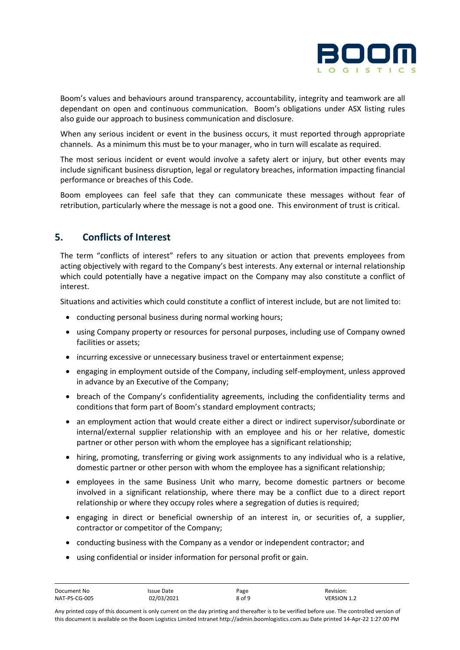

Boom's values and behaviours around transparency, accountability, integrity and teamwork are all dependant on open and continuous communication. Boom's obligations under ASX listing rules also guide our approach to business communication and disclosure.

When any serious incident or event in the business occurs, it must reported through appropriate channels. As a minimum this must be to your manager, who in turn will escalate as required.

The most serious incident or event would involve a safety alert or injury, but other events may include significant business disruption, legal or regulatory breaches, information impacting financial performance or breaches of this Code.

Boom employees can feel safe that they can communicate these messages without fear of retribution, particularly where the message is not a good one. This environment of trust is critical.

# **5. Conflicts of Interest**

The term "conflicts of interest" refers to any situation or action that prevents employees from acting objectively with regard to the Company's best interests. Any external or internal relationship which could potentially have a negative impact on the Company may also constitute a conflict of interest.

Situations and activities which could constitute a conflict of interest include, but are not limited to:

- conducting personal business during normal working hours;
- using Company property or resources for personal purposes, including use of Company owned facilities or assets;
- incurring excessive or unnecessary business travel or entertainment expense;
- engaging in employment outside of the Company, including self-employment, unless approved in advance by an Executive of the Company;
- breach of the Company's confidentiality agreements, including the confidentiality terms and conditions that form part of Boom's standard employment contracts;
- an employment action that would create either a direct or indirect supervisor/subordinate or internal/external supplier relationship with an employee and his or her relative, domestic partner or other person with whom the employee has a significant relationship;
- hiring, promoting, transferring or giving work assignments to any individual who is a relative, domestic partner or other person with whom the employee has a significant relationship;
- employees in the same Business Unit who marry, become domestic partners or become involved in a significant relationship, where there may be a conflict due to a direct report relationship or where they occupy roles where a segregation of duties is required;
- engaging in direct or beneficial ownership of an interest in, or securities of, a supplier, contractor or competitor of the Company;
- conducting business with the Company as a vendor or independent contractor; and
- using confidential or insider information for personal profit or gain.

| Document No   | Issue Date | Page   | Revision:          |
|---------------|------------|--------|--------------------|
| NAT-PS-CG-005 | 02/03/2021 | 8 of 9 | <b>VERSION 1.2</b> |